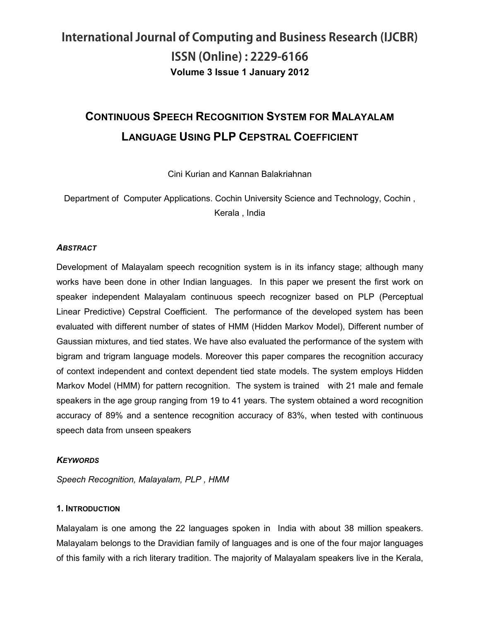## **CONTINUOUS SPEECH RECOGNITION SYSTEM FOR MALAYALAM LANGUAGE USING PLP CEPSTRAL COEFFICIENT**

Cini Kurian and Kannan Balakriahnan

Department of Computer Applications. Cochin University Science and Technology, Cochin , Kerala , India

### *ABSTRACT*

Development of Malayalam speech recognition system is in its infancy stage; although many works have been done in other Indian languages. In this paper we present the first work on speaker independent Malayalam continuous speech recognizer based on PLP (Perceptual Linear Predictive) Cepstral Coefficient. The performance of the developed system has been evaluated with different number of states of HMM (Hidden Markov Model), Different number of Gaussian mixtures, and tied states. We have also evaluated the performance of the system with bigram and trigram language models. Moreover this paper compares the recognition accuracy of context independent and context dependent tied state models. The system employs Hidden Markov Model (HMM) for pattern recognition. The system is trained with 21 male and female speakers in the age group ranging from 19 to 41 years. The system obtained a word recognition accuracy of 89% and a sentence recognition accuracy of 83%, when tested with continuous speech data from unseen speakers

### *KEYWORDS*

*Speech Recognition, Malayalam, PLP , HMM* 

### **1. INTRODUCTION**

Malayalam is one among the 22 languages spoken in India with about 38 million speakers. Malayalam belongs to the Dravidian family of languages and is one of the four major languages of this family with a rich literary tradition. The majority of Malayalam speakers live in the Kerala,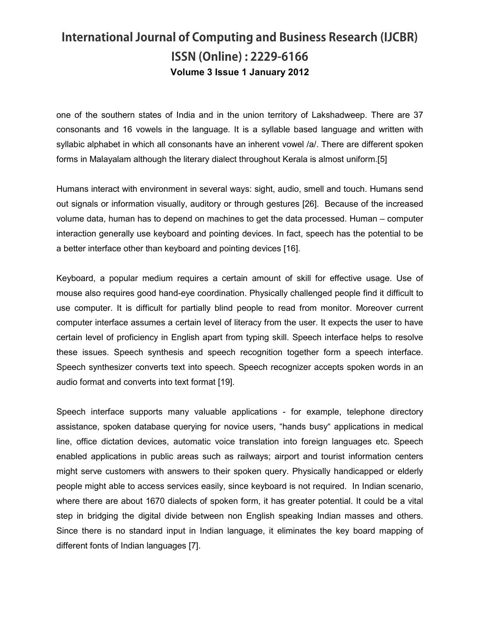one of the southern states of India and in the union territory of Lakshadweep. There are 37 consonants and 16 vowels in the language. It is a syllable based language and written with syllabic alphabet in which all consonants have an inherent vowel /a/. There are different spoken forms in Malayalam although the literary dialect throughout Kerala is almost uniform.[5]

Humans interact with environment in several ways: sight, audio, smell and touch. Humans send out signals or information visually, auditory or through gestures [26]. Because of the increased volume data, human has to depend on machines to get the data processed. Human – computer interaction generally use keyboard and pointing devices. In fact, speech has the potential to be a better interface other than keyboard and pointing devices [16].

Keyboard, a popular medium requires a certain amount of skill for effective usage. Use of mouse also requires good hand-eye coordination. Physically challenged people find it difficult to use computer. It is difficult for partially blind people to read from monitor. Moreover current computer interface assumes a certain level of literacy from the user. It expects the user to have certain level of proficiency in English apart from typing skill. Speech interface helps to resolve these issues. Speech synthesis and speech recognition together form a speech interface. Speech synthesizer converts text into speech. Speech recognizer accepts spoken words in an audio format and converts into text format [19].

Speech interface supports many valuable applications - for example, telephone directory assistance, spoken database querying for novice users, "hands busy" applications in medical line, office dictation devices, automatic voice translation into foreign languages etc. Speech enabled applications in public areas such as railways; airport and tourist information centers might serve customers with answers to their spoken query. Physically handicapped or elderly people might able to access services easily, since keyboard is not required. In Indian scenario, where there are about 1670 dialects of spoken form, it has greater potential. It could be a vital step in bridging the digital divide between non English speaking Indian masses and others. Since there is no standard input in Indian language, it eliminates the key board mapping of different fonts of Indian languages [7].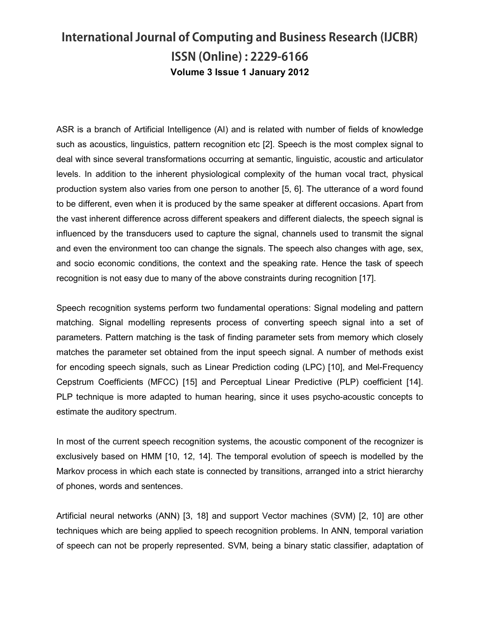ASR is a branch of Artificial Intelligence (AI) and is related with number of fields of knowledge such as acoustics, linguistics, pattern recognition etc [2]. Speech is the most complex signal to deal with since several transformations occurring at semantic, linguistic, acoustic and articulator levels. In addition to the inherent physiological complexity of the human vocal tract, physical production system also varies from one person to another [5, 6]. The utterance of a word found to be different, even when it is produced by the same speaker at different occasions. Apart from the vast inherent difference across different speakers and different dialects, the speech signal is influenced by the transducers used to capture the signal, channels used to transmit the signal and even the environment too can change the signals. The speech also changes with age, sex, and socio economic conditions, the context and the speaking rate. Hence the task of speech recognition is not easy due to many of the above constraints during recognition [17].

Speech recognition systems perform two fundamental operations: Signal modeling and pattern matching. Signal modelling represents process of converting speech signal into a set of parameters. Pattern matching is the task of finding parameter sets from memory which closely matches the parameter set obtained from the input speech signal. A number of methods exist for encoding speech signals, such as Linear Prediction coding (LPC) [10], and Mel-Frequency Cepstrum Coefficients (MFCC) [15] and Perceptual Linear Predictive (PLP) coefficient [14]. PLP technique is more adapted to human hearing, since it uses psycho-acoustic concepts to estimate the auditory spectrum.

In most of the current speech recognition systems, the acoustic component of the recognizer is exclusively based on HMM [10, 12, 14]. The temporal evolution of speech is modelled by the Markov process in which each state is connected by transitions, arranged into a strict hierarchy of phones, words and sentences.

Artificial neural networks (ANN) [3, 18] and support Vector machines (SVM) [2, 10] are other techniques which are being applied to speech recognition problems. In ANN, temporal variation of speech can not be properly represented. SVM, being a binary static classifier, adaptation of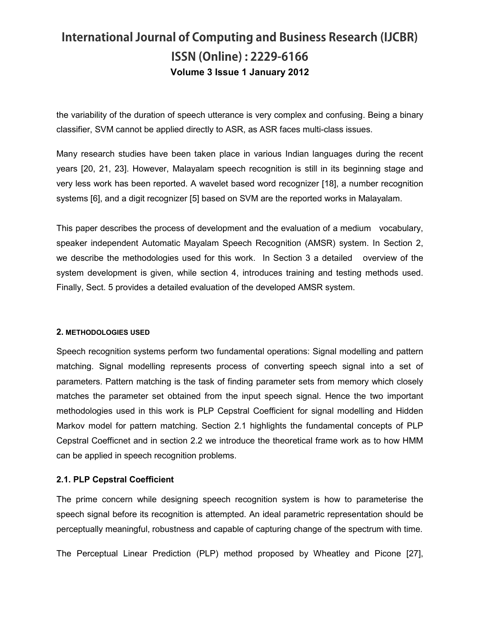the variability of the duration of speech utterance is very complex and confusing. Being a binary classifier, SVM cannot be applied directly to ASR, as ASR faces multi-class issues.

Many research studies have been taken place in various Indian languages during the recent years [20, 21, 23]. However, Malayalam speech recognition is still in its beginning stage and very less work has been reported. A wavelet based word recognizer [18], a number recognition systems [6], and a digit recognizer [5] based on SVM are the reported works in Malayalam.

This paper describes the process of development and the evaluation of a medium vocabulary, speaker independent Automatic Mayalam Speech Recognition (AMSR) system. In Section 2, we describe the methodologies used for this work. In Section 3 a detailed overview of the system development is given, while section 4, introduces training and testing methods used. Finally, Sect. 5 provides a detailed evaluation of the developed AMSR system.

### **2. METHODOLOGIES USED**

Speech recognition systems perform two fundamental operations: Signal modelling and pattern matching. Signal modelling represents process of converting speech signal into a set of parameters. Pattern matching is the task of finding parameter sets from memory which closely matches the parameter set obtained from the input speech signal. Hence the two important methodologies used in this work is PLP Cepstral Coefficient for signal modelling and Hidden Markov model for pattern matching. Section 2.1 highlights the fundamental concepts of PLP Cepstral Coefficnet and in section 2.2 we introduce the theoretical frame work as to how HMM can be applied in speech recognition problems.

### **2.1. PLP Cepstral Coefficient**

The prime concern while designing speech recognition system is how to parameterise the speech signal before its recognition is attempted. An ideal parametric representation should be perceptually meaningful, robustness and capable of capturing change of the spectrum with time.

The Perceptual Linear Prediction (PLP) method proposed by Wheatley and Picone [27],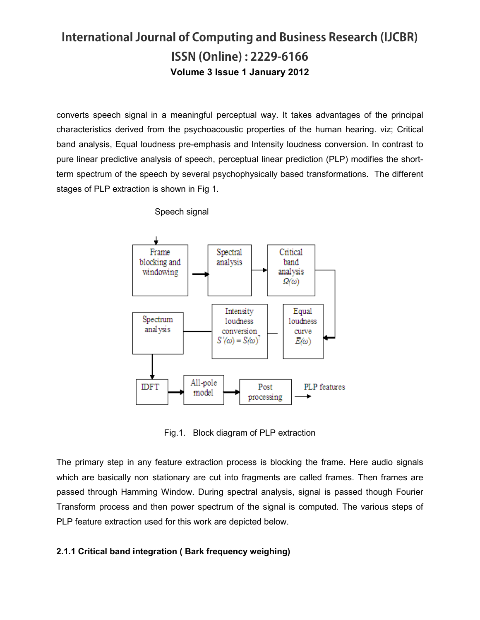converts speech signal in a meaningful perceptual way. It takes advantages of the principal characteristics derived from the psychoacoustic properties of the human hearing. viz; Critical band analysis, Equal loudness pre-emphasis and Intensity loudness conversion. In contrast to pure linear predictive analysis of speech, perceptual linear prediction (PLP) modifies the shortterm spectrum of the speech by several psychophysically based transformations. The different stages of PLP extraction is shown in Fig 1.



Speech signal

Fig.1. Block diagram of PLP extraction

The primary step in any feature extraction process is blocking the frame. Here audio signals which are basically non stationary are cut into fragments are called frames. Then frames are passed through Hamming Window. During spectral analysis, signal is passed though Fourier Transform process and then power spectrum of the signal is computed. The various steps of PLP feature extraction used for this work are depicted below.

### **2.1.1 Critical band integration ( Bark frequency weighing)**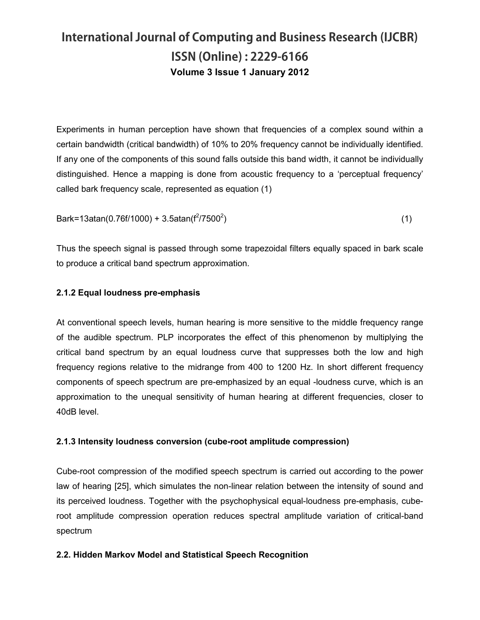Experiments in human perception have shown that frequencies of a complex sound within a certain bandwidth (critical bandwidth) of 10% to 20% frequency cannot be individually identified. If any one of the components of this sound falls outside this band width, it cannot be individually distinguished. Hence a mapping is done from acoustic frequency to a 'perceptual frequency' called bark frequency scale, represented as equation (1)

```
Bark=13atan(0.76f/1000) + 3.5atan(f<sup>2</sup>/7500<sup>2</sup>
                     ) (1)
```
Thus the speech signal is passed through some trapezoidal filters equally spaced in bark scale to produce a critical band spectrum approximation.

### **2.1.2 Equal loudness pre-emphasis**

At conventional speech levels, human hearing is more sensitive to the middle frequency range of the audible spectrum. PLP incorporates the effect of this phenomenon by multiplying the critical band spectrum by an equal loudness curve that suppresses both the low and high frequency regions relative to the midrange from 400 to 1200 Hz. In short different frequency components of speech spectrum are pre-emphasized by an equal -loudness curve, which is an approximation to the unequal sensitivity of human hearing at different frequencies, closer to 40dB level.

### **2.1.3 Intensity loudness conversion (cube-root amplitude compression)**

Cube-root compression of the modified speech spectrum is carried out according to the power law of hearing [25], which simulates the non-linear relation between the intensity of sound and its perceived loudness. Together with the psychophysical equal-loudness pre-emphasis, cuberoot amplitude compression operation reduces spectral amplitude variation of critical-band spectrum

### **2.2. Hidden Markov Model and Statistical Speech Recognition**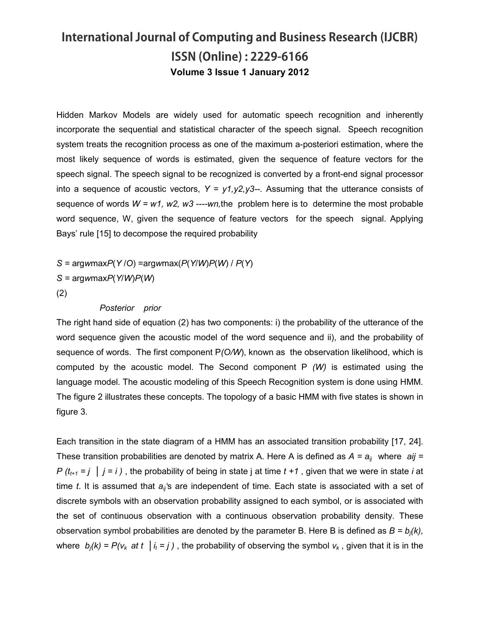Hidden Markov Models are widely used for automatic speech recognition and inherently incorporate the sequential and statistical character of the speech signal. Speech recognition system treats the recognition process as one of the maximum a-posteriori estimation, where the most likely sequence of words is estimated, given the sequence of feature vectors for the speech signal. The speech signal to be recognized is converted by a front-end signal processor into a sequence of acoustic vectors, *Y = y1,y2,y3--.* Assuming that the utterance consists of sequence of words  $W = w1$ , w2, w3 ----wn, the problem here is to determine the most probable word sequence, W, given the sequence of feature vectors for the speech signal. Applying Bays' rule [15] to decompose the required probability

*S =* arg*w*max*P*(*Y* /*O*) =arg*w*max(*P*(*Y*/*W*)*P*(*W*) / *P*(*Y*) *S =* arg*w*max*P*(*Y*/*W*)*P*(*W*) (2)

### *Posterior prior*

The right hand side of equation (2) has two components: i) the probability of the utterance of the word sequence given the acoustic model of the word sequence and ii), and the probability of sequence of words. The first component P*(O/W*), known asthe observation likelihood, which is computed by the acoustic model. The Second component P *(W)* is estimated using the language model*.* The acoustic modeling of this Speech Recognition system is done using HMM. The figure 2 illustrates these concepts. The topology of a basic HMM with five states is shown in figure 3.

Each transition in the state diagram of a HMM has an associated transition probability [17, 24]. These transition probabilities are denoted by matrix A. Here A is defined as  $A = a_{ii}$  where  $aij =$ *P (tt+1 = j │ j = i )* , the probability of being in state j at time *t +1* , given that we were in state *i* at time *t*. It is assumed that *aij'*s are independent of time. Each state is associated with a set of discrete symbols with an observation probability assigned to each symbol, or is associated with the set of continuous observation with a continuous observation probability density. These observation symbol probabilities are denoted by the parameter B. Here B is defined as *B = bj(k),*  where  $b_j(k)$  =  $P(V_k$  at  $t \mid l_t = j$  ) , the probability of observing the symbol  $v_k$  , given that it is in the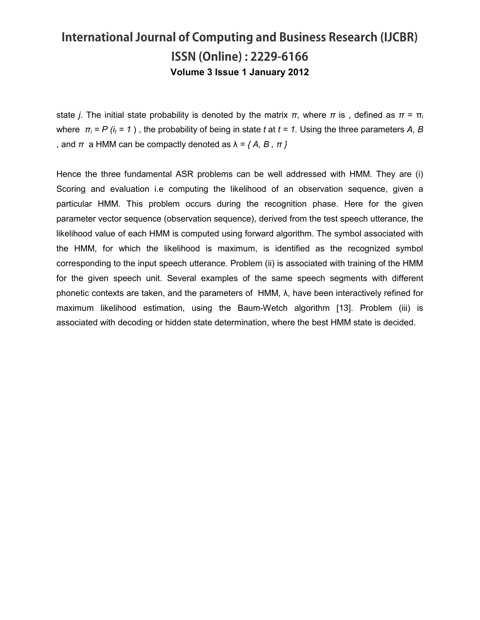state *j*. The initial state probability is denoted by the matrix *π*, where *π* is , defined as *π* = π<sup>i</sup> where *π<sup>i</sup> = P (i<sup>t</sup> = 1* ) , the probability of being in state *t* at *t = 1.* Using the three parameters *A, B*  , and  $\pi$  a HMM can be compactly denoted as  $\lambda = \{A, B, \pi\}$ 

Hence the three fundamental ASR problems can be well addressed with HMM. They are (i) Scoring and evaluation i.e computing the likelihood of an observation sequence, given a particular HMM. This problem occurs during the recognition phase. Here for the given parameter vector sequence (observation sequence), derived from the test speech utterance, the likelihood value of each HMM is computed using forward algorithm. The symbol associated with the HMM, for which the likelihood is maximum, is identified as the recognized symbol corresponding to the input speech utterance. Problem (ii) is associated with training of the HMM for the given speech unit. Several examples of the same speech segments with different phonetic contexts are taken, and the parameters of HMM, λ, have been interactively refined for maximum likelihood estimation, using the Baum-Wetch algorithm [13]. Problem (iii) is associated with decoding or hidden state determination, where the best HMM state is decided.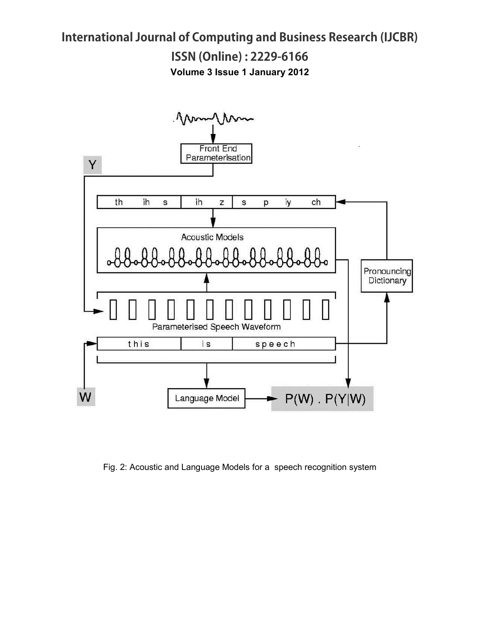## **International Journal of Computing and Business Research (IJCBR)**

**ISSN (Online) : 2229-6166**

**Volume 3 Issue 1 January 2012** 



Fig. 2: Acoustic and Language Models for a speech recognition system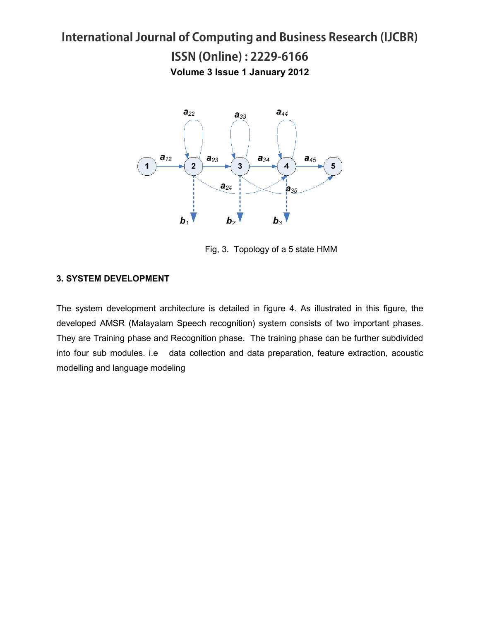### **International Journal of Computing and Business Research (IJCBR)**

**ISSN (Online) : 2229-6166**

**Volume 3 Issue 1 January 2012** 



Fig, 3. Topology of a 5 state HMM

### **3. SYSTEM DEVELOPMENT**

The system development architecture is detailed in figure 4. As illustrated in this figure, the developed AMSR (Malayalam Speech recognition) system consists of two important phases. They are Training phase and Recognition phase. The training phase can be further subdivided into four sub modules. i.e data collection and data preparation, feature extraction, acoustic modelling and language modeling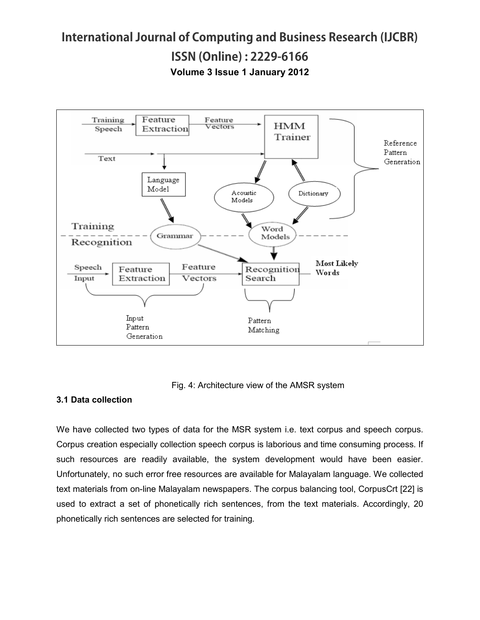

### Fig. 4: Architecture view of the AMSR system

### **3.1 Data collection**

We have collected two types of data for the MSR system i.e. text corpus and speech corpus. Corpus creation especially collection speech corpus is laborious and time consuming process. If such resources are readily available, the system development would have been easier. Unfortunately, no such error free resources are available for Malayalam language. We collected text materials from on-line Malayalam newspapers. The corpus balancing tool, CorpusCrt [22] is used to extract a set of phonetically rich sentences, from the text materials. Accordingly, 20 phonetically rich sentences are selected for training*.*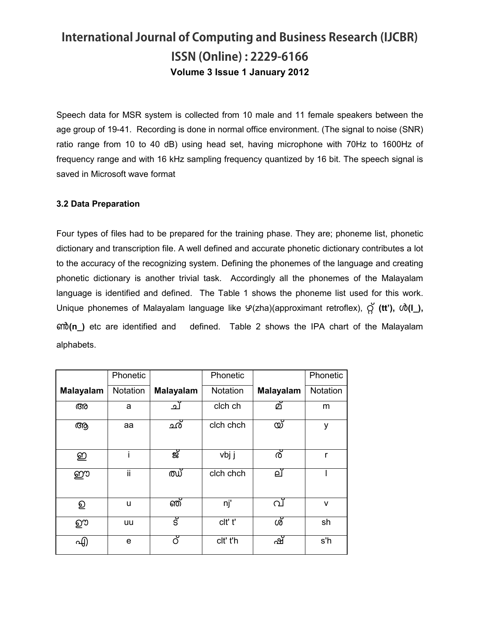Speech data for MSR system is collected from 10 male and 11 female speakers between the age group of 19-41. Recording is done in normal office environment. (The signal to noise (SNR) ratio range from 10 to 40 dB) using head set, having microphone with 70Hz to 1600Hz of frequency range and with 16 kHz sampling frequency quantized by 16 bit. The speech signal is saved in Microsoft wave format

### **3.2 Data Preparation**

Four types of files had to be prepared for the training phase. They are; phoneme list, phonetic dictionary and transcription file. A well defined and accurate phonetic dictionary contributes a lot to the accuracy of the recognizing system. Defining the phonemes of the language and creating phonetic dictionary is another trivial task. Accordingly all the phonemes of the Malayalam language is identified and defined. The Table 1 shows the phoneme list used for this work. Unique phonemes of Malayalam language like  $\mathcal{P}(zha)(approximant retroflex), \varphi (tt'), \varphi (I\_),$ **(n\_)** etc are identified and defined. Table 2 shows the IPA chart of the Malayalam alphabets.

|                  | Phonetic        |                  | Phonetic        |                  | Phonetic     |
|------------------|-----------------|------------------|-----------------|------------------|--------------|
| <b>Malayalam</b> | <b>Notation</b> | <b>Malayalam</b> | <b>Notation</b> | <b>Malayalam</b> | Notation     |
| അ                | a               | <u>آھ</u>        | clch ch         | മ്               | m            |
| ആ                | aa              | ഛ്               | clch chch       | യ്               | у            |
| ഇ                |                 | జ్ల              | vbj j           | ര്               | r            |
| ഈ                | ii              | ഝ്               | clch chch       | ല്               |              |
| ഉ                | u               | ഞ്               | nj'             | വ്               | $\mathsf{v}$ |
| ഊ                | uu              | ဌိ               | clt' t'         | ശ്               | sh           |
| പി               | e               | റ്               | clt' t'h        | ഷ്               | s'h          |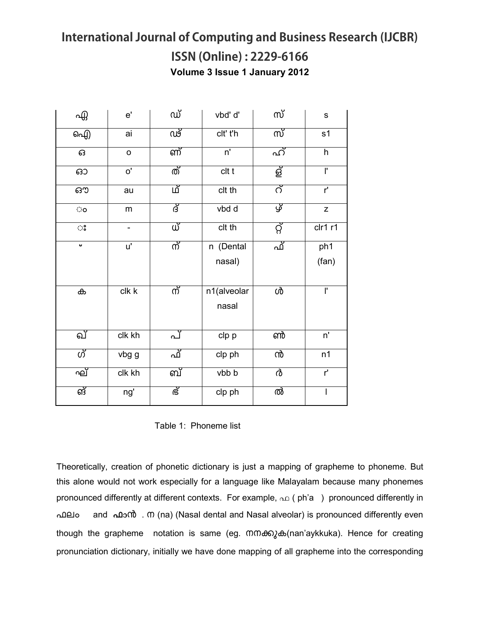### **International Journal of Computing and Business Research (IJCBR)**

# **ISSN (Online) : 2229-6166**

**Volume 3 Issue 1 January 2012** 

| ഏ                    | e'                       | ഡ്             | vbd' d'             | സ്                        | $\mathbf s$                                                                                                                                                                                                                                                                                                                                                                      |
|----------------------|--------------------------|----------------|---------------------|---------------------------|----------------------------------------------------------------------------------------------------------------------------------------------------------------------------------------------------------------------------------------------------------------------------------------------------------------------------------------------------------------------------------|
| த                    | $\overline{ai}$          | ഢ്             | clt' t'h            | സ്                        | $\overline{s}$                                                                                                                                                                                                                                                                                                                                                                   |
| ഒ                    | $\mathsf{o}$             | ണ്             | $\overline{n}$      | ഹ്                        | h                                                                                                                                                                                                                                                                                                                                                                                |
| ഓ                    | O'                       | ത്             | clt t               | ନ୍ତି                      | $\overline{\mathsf{r}}$                                                                                                                                                                                                                                                                                                                                                          |
| ഔ                    | au                       | மீ             | clt th              | $\sigma$                  | $\overline{r'}$                                                                                                                                                                                                                                                                                                                                                                  |
| ം                    | m                        | $\beta$        | vbd d               | कै                        | Z                                                                                                                                                                                                                                                                                                                                                                                |
| ះ                    | $\overline{\phantom{0}}$ | $\mathfrak{G}$ | $clt$ <sub>th</sub> | ႙ၟိ                       | $clr1$ r1                                                                                                                                                                                                                                                                                                                                                                        |
| $\ddot{\phantom{0}}$ | $\overline{u}$           | ന്             | n (Dental           | ഫ്                        | ph1                                                                                                                                                                                                                                                                                                                                                                              |
|                      |                          |                | nasal)              |                           | (fan)                                                                                                                                                                                                                                                                                                                                                                            |
| ക                    | $c$ lk k                 | ന്             | n1(alveolar         | <b>S</b>                  | ľ                                                                                                                                                                                                                                                                                                                                                                                |
|                      |                          |                | nasal               |                           |                                                                                                                                                                                                                                                                                                                                                                                  |
| வ                    | clk kh                   | പ്             | clp p               | ൺ                         | $\overline{n'}$                                                                                                                                                                                                                                                                                                                                                                  |
| $\omega$             | vbg g                    | ഫ്             | clp ph              | $\overline{\mathfrak{g}}$ | n1                                                                                                                                                                                                                                                                                                                                                                               |
| ഘ്                   | clk kh                   | ்ஸ்            | vbb b               | $\overline{\omega}$       | $\overline{r'}$                                                                                                                                                                                                                                                                                                                                                                  |
| ങ്                   | ng'                      | ഭ്             | clp ph              | ൽ                         | $\begin{array}{c} \rule{0pt}{2.5ex} \rule{0pt}{2.5ex} \rule{0pt}{2.5ex} \rule{0pt}{2.5ex} \rule{0pt}{2.5ex} \rule{0pt}{2.5ex} \rule{0pt}{2.5ex} \rule{0pt}{2.5ex} \rule{0pt}{2.5ex} \rule{0pt}{2.5ex} \rule{0pt}{2.5ex} \rule{0pt}{2.5ex} \rule{0pt}{2.5ex} \rule{0pt}{2.5ex} \rule{0pt}{2.5ex} \rule{0pt}{2.5ex} \rule{0pt}{2.5ex} \rule{0pt}{2.5ex} \rule{0pt}{2.5ex} \rule{0$ |

Table 1: Phoneme list

Theoretically, creation of phonetic dictionary is just a mapping of grapheme to phoneme. But this alone would not work especially for a language like Malayalam because many phonemes pronounced differently at different contexts. For example,  $\alpha$  (ph'a) pronounced differently in ഫലം and ഫ<sub>ാ</sub>ൻ . ന (na) (Nasal dental and Nasal alveolar) is pronounced differently even though the grapheme notation is same (eg.  $m \omega$ ang) chan'aykkuka). Hence for creating pronunciation dictionary, initially we have done mapping of all grapheme into the corresponding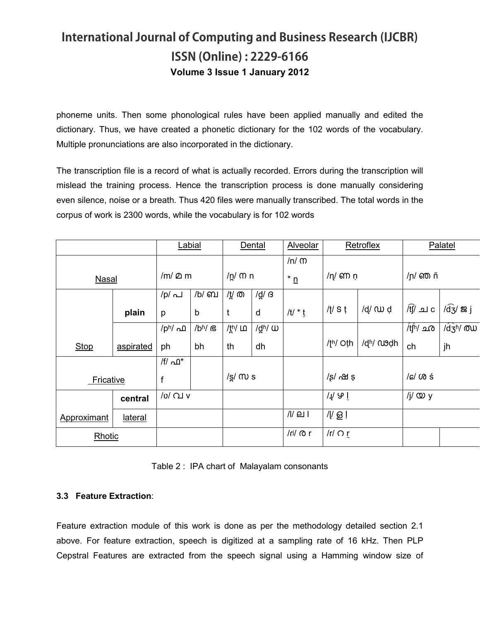phoneme units. Then some phonological rules have been applied manually and edited the dictionary. Thus, we have created a phonetic dictionary for the 102 words of the vocabulary. Multiple pronunciations are also incorporated in the dictionary.

The transcription file is a record of what is actually recorded. Errors during the transcription will mislead the training process. Hence the transcription process is done manually considering even silence, noise or a breath. Thus 420 files were manually transcribed. The total words in the corpus of work is 2300 words, while the vocabulary is for 102 words

|              |           | Labial                    |                    | Dental  |                     | <b>Alveolar</b>             | Retroflex           |            | Palatel                                                   |                                      |
|--------------|-----------|---------------------------|--------------------|---------|---------------------|-----------------------------|---------------------|------------|-----------------------------------------------------------|--------------------------------------|
|              |           |                           |                    |         |                     | /n/m                        |                     |            |                                                           |                                      |
| <b>Nasal</b> |           | /m/ <b>@</b> m            | / <u>n</u> / m n   |         | $*_{\underline{n}}$ | $/η/$ ണ ņ                   |                     | $/n/$ ഞ ñ  |                                                           |                                      |
|              |           | /p/ പ                     | /b/ ബ              |         | /d/ B               |                             |                     |            |                                                           |                                      |
|              | plain     | p                         | b                  | t       | d                   | /t/ $*$ t                   | /t/ S t             | /d/ ഡ d    | $\widehat{\mathfrak{f}\mathfrak{l}}$ عا لع $\mathfrak{c}$ | $/\widehat{d3}/$ % j                 |
|              |           | /ph/ ഫ                    | /b <sup>h</sup> /g | /tʰ/ ம  | /dh/ W              |                             |                     |            | /t͡ʃʰ/ ഛ                                                  | $\sqrt{d_3}$ <sup>h</sup> / $\omega$ |
| <b>Stop</b>  | aspirated | ph                        | bh                 | th      | dh                  |                             | /th/ Oth            | /dh/ cundh | ch                                                        | jh                                   |
|              |           | /f/ ഫ*                    |                    |         |                     |                             |                     |            |                                                           |                                      |
| Fricative    |           | f                         |                    | /s/ m s |                     |                             | /ട/ ഷ ട             |            | $ G $ $(0)$ $\leq$                                        |                                      |
|              | central   | $/$ ט $/$ $\Omega$ $\vee$ |                    |         |                     |                             | <u>   ବା</u>        |            | /j/ $\omega$ y                                            |                                      |
| Approximant  | lateral   |                           |                    |         |                     | $\frac{1}{2}$ $\frac{1}{2}$ | /ା∖ ତି i            |            |                                                           |                                      |
| Rhotic       |           |                           |                    |         |                     | /rʲ/ ര r                    | $/r/$ $\bigcap$ $r$ |            |                                                           |                                      |

### **3.3 Feature Extraction**:

Feature extraction module of this work is done as per the methodology detailed section 2.1 above. For feature extraction, speech is digitized at a sampling rate of 16 kHz. Then PLP Cepstral Features are extracted from the speech signal using a Hamming window size of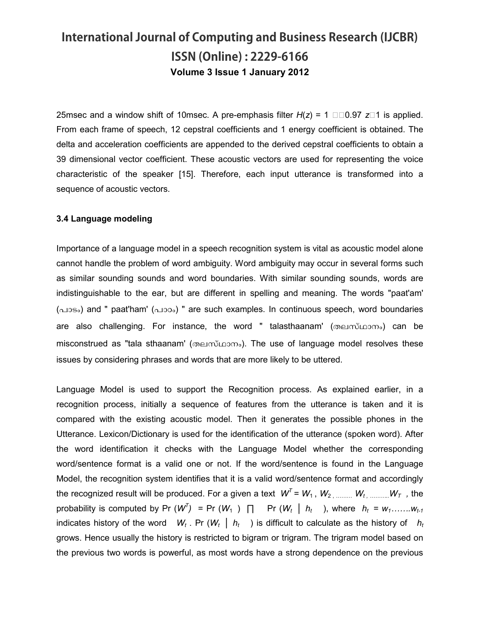25msec and a window shift of 10msec. A pre-emphasis filter  $H(z) = 1 \square \square 0.97 z \square 1$  is applied. From each frame of speech, 12 cepstral coefficients and 1 energy coefficient is obtained. The delta and acceleration coefficients are appended to the derived cepstral coefficients to obtain a 39 dimensional vector coefficient. These acoustic vectors are used for representing the voice characteristic of the speaker [15]. Therefore, each input utterance is transformed into a sequence of acoustic vectors.

### **3.4 Language modeling**

Importance of a language model in a speech recognition system is vital as acoustic model alone cannot handle the problem of word ambiguity. Word ambiguity may occur in several forms such as similar sounding sounds and word boundaries. With similar sounding sounds, words are indistinguishable to the ear, but are different in spelling and meaning. The words "paat'am' (പാടം) and " paat'ham' (പാഠം) " are such examples. In continuous speech, word boundaries are also challenging. For instance, the word " talasthaanam' (തലസ്ഥാനം) can be misconstrued as "tala sthaanam' (തലസ്ഥാനം). The use of language model resolves these issues by considering phrases and words that are more likely to be uttered.

Language Model is used to support the Recognition process. As explained earlier, in a recognition process, initially a sequence of features from the utterance is taken and it is compared with the existing acoustic model. Then it generates the possible phones in the Utterance. Lexicon/Dictionary is used for the identification of the utterance (spoken word). After the word identification it checks with the Language Model whether the corresponding word/sentence format is a valid one or not. If the word/sentence is found in the Language Model, the recognition system identifies that it is a valid word/sentence format and accordingly the recognized result will be produced. For a given a text  $W^T = W_1$ ,  $W_2$ , ..........  $W_t$ , ..............  $W_T$ , the probability is computed by Pr  $(W^T) = Pr(W_1) \prod Pr(W_t | h_t)$ , where  $h_t = w_1$ ....... $w_{t-1}$ indicates history of the word  $W_t$ . Pr ( $W_t \mid h_t$ ) is difficult to calculate as the history of  $h_t$ grows. Hence usually the history is restricted to bigram or trigram. The trigram model based on the previous two words is powerful, as most words have a strong dependence on the previous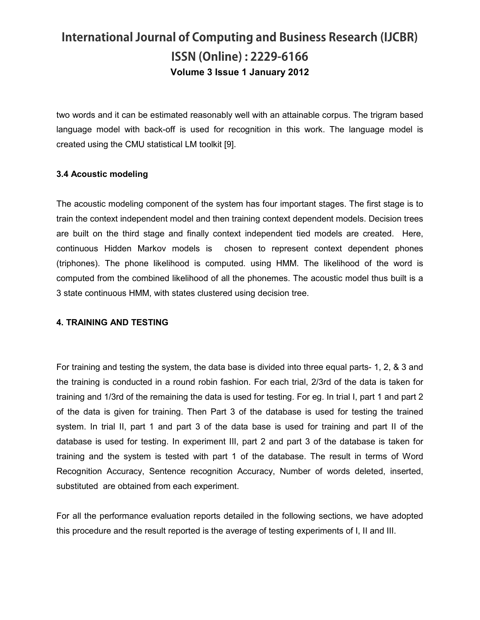two words and it can be estimated reasonably well with an attainable corpus. The trigram based language model with back-off is used for recognition in this work. The language model is created using the CMU statistical LM toolkit [9].

### **3.4 Acoustic modeling**

The acoustic modeling component of the system has four important stages. The first stage is to train the context independent model and then training context dependent models. Decision trees are built on the third stage and finally context independent tied models are created. Here, continuous Hidden Markov models is chosen to represent context dependent phones (triphones). The phone likelihood is computed. using HMM. The likelihood of the word is computed from the combined likelihood of all the phonemes. The acoustic model thus built is a 3 state continuous HMM, with states clustered using decision tree.

### **4. TRAINING AND TESTING**

For training and testing the system, the data base is divided into three equal parts- 1, 2, & 3 and the training is conducted in a round robin fashion. For each trial, 2/3rd of the data is taken for training and 1/3rd of the remaining the data is used for testing. For eg. In trial I, part 1 and part 2 of the data is given for training. Then Part 3 of the database is used for testing the trained system. In trial II, part 1 and part 3 of the data base is used for training and part II of the database is used for testing. In experiment III, part 2 and part 3 of the database is taken for training and the system is tested with part 1 of the database. The result in terms of Word Recognition Accuracy, Sentence recognition Accuracy, Number of words deleted, inserted, substituted are obtained from each experiment.

For all the performance evaluation reports detailed in the following sections, we have adopted this procedure and the result reported is the average of testing experiments of I, II and III.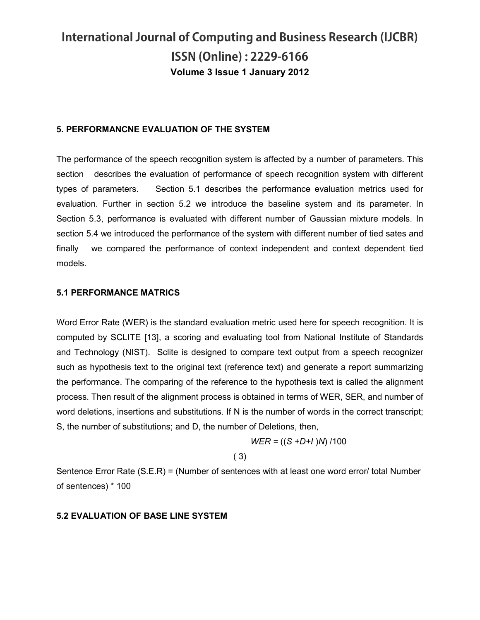### **5. PERFORMANCNE EVALUATION OF THE SYSTEM**

The performance of the speech recognition system is affected by a number of parameters. This section describes the evaluation of performance of speech recognition system with different types of parameters. Section 5.1 describes the performance evaluation metrics used for evaluation. Further in section 5.2 we introduce the baseline system and its parameter. In Section 5.3, performance is evaluated with different number of Gaussian mixture models. In section 5.4 we introduced the performance of the system with different number of tied sates and finally we compared the performance of context independent and context dependent tied models.

### **5.1 PERFORMANCE MATRICS**

Word Error Rate (WER) is the standard evaluation metric used here for speech recognition. It is computed by SCLITE [13], a scoring and evaluating tool from National Institute of Standards and Technology (NIST). Sclite is designed to compare text output from a speech recognizer such as hypothesis text to the original text (reference text) and generate a report summarizing the performance. The comparing of the reference to the hypothesis text is called the alignment process. Then result of the alignment process is obtained in terms of WER, SER, and number of word deletions, insertions and substitutions. If N is the number of words in the correct transcript; S, the number of substitutions; and D, the number of Deletions, then,

$$
WER = ((S + D + I)N) / 100
$$

( 3)

Sentence Error Rate (S.E.R) = (Number of sentences with at least one word error/ total Number of sentences) \* 100

#### **5.2 EVALUATION OF BASE LINE SYSTEM**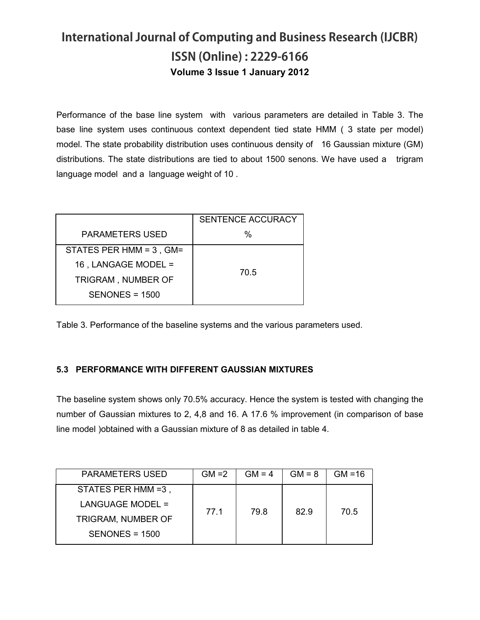Performance of the base line system with various parameters are detailed in Table 3. The base line system uses continuous context dependent tied state HMM ( 3 state per model) model. The state probability distribution uses continuous density of 16 Gaussian mixture (GM) distributions. The state distributions are tied to about 1500 senons. We have used a trigram language model and a language weight of 10 .

|                         | SENTENCE ACCURACY |
|-------------------------|-------------------|
| <b>PARAMETERS USED</b>  | %                 |
| STATES PER HMM = 3, GM= |                   |
| 16, LANGAGE MODEL =     | 70.5              |
| TRIGRAM, NUMBER OF      |                   |
| $SENONES = 1500$        |                   |

Table 3. Performance of the baseline systems and the various parameters used.

### **5.3 PERFORMANCE WITH DIFFERENT GAUSSIAN MIXTURES**

The baseline system shows only 70.5% accuracy. Hence the system is tested with changing the number of Gaussian mixtures to 2, 4,8 and 16. A 17.6 % improvement (in comparison of base line model )obtained with a Gaussian mixture of 8 as detailed in table 4.

| <b>PARAMETERS USED</b> | $GM = 2$ | $GM = 4$ | $GM = 8$ | $GM = 16$ |
|------------------------|----------|----------|----------|-----------|
| STATES PER HMM = 3,    |          |          |          |           |
| LANGUAGE MODEL =       | 77.1     | 79.8     | 82.9     | 70.5      |
| TRIGRAM, NUMBER OF     |          |          |          |           |
| $SENONES = 1500$       |          |          |          |           |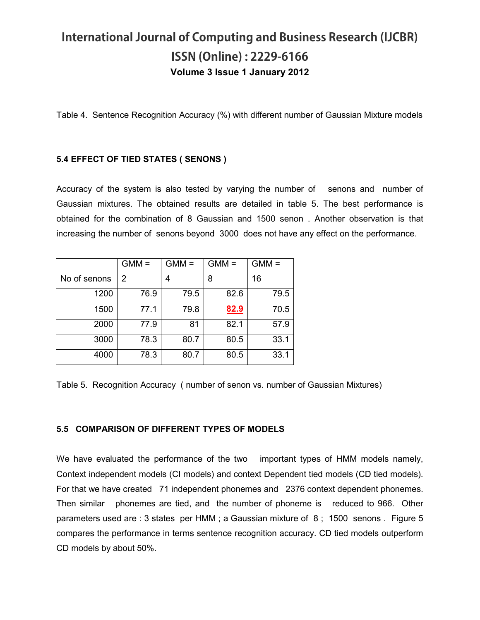Table 4. Sentence Recognition Accuracy (%) with different number of Gaussian Mixture models

### **5.4 EFFECT OF TIED STATES ( SENONS )**

Accuracy of the system is also tested by varying the number of senons and number of Gaussian mixtures. The obtained results are detailed in table 5. The best performance is obtained for the combination of 8 Gaussian and 1500 senon . Another observation is that increasing the number of senons beyond 3000 does not have any effect on the performance.

|              | $GMM =$ | $GMM =$ | $GMM =$ | $GMM =$ |  |
|--------------|---------|---------|---------|---------|--|
| No of senons | 2       | 4       | 8       | 16      |  |
| 1200         | 76.9    | 79.5    | 82.6    | 79.5    |  |
| 1500         | 77.1    | 79.8    | 82.9    | 70.5    |  |
| 2000         | 77.9    | 81      | 82.1    | 57.9    |  |
| 3000         | 78.3    | 80.7    | 80.5    | 33.1    |  |
| 4000         | 78.3    | 80.7    | 80.5    | 33.1    |  |

Table 5. Recognition Accuracy ( number of senon vs. number of Gaussian Mixtures)

### **5.5 COMPARISON OF DIFFERENT TYPES OF MODELS**

We have evaluated the performance of the two important types of HMM models namely, Context independent models (CI models) and context Dependent tied models (CD tied models). For that we have created 71 independent phonemes and 2376 context dependent phonemes. Then similar phonemes are tied, and the number of phoneme is reduced to 966. Other parameters used are : 3 states per HMM ; a Gaussian mixture of 8 ; 1500 senons . Figure 5 compares the performance in terms sentence recognition accuracy. CD tied models outperform CD models by about 50%.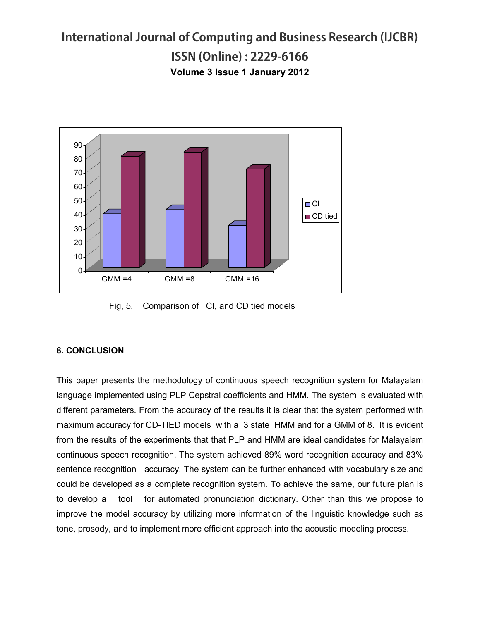# **International Journal of Computing and Business Research (IJCBR) ISSN (Online) : 2229-6166**

**Volume 3 Issue 1 January 2012** 



Fig, 5. Comparison of CI, and CD tied models

### **6. CONCLUSION**

This paper presents the methodology of continuous speech recognition system for Malayalam language implemented using PLP Cepstral coefficients and HMM. The system is evaluated with different parameters. From the accuracy of the results it is clear that the system performed with maximum accuracy for CD-TIED models with a 3 state HMM and for a GMM of 8. It is evident from the results of the experiments that that PLP and HMM are ideal candidates for Malayalam continuous speech recognition. The system achieved 89% word recognition accuracy and 83% sentence recognition accuracy. The system can be further enhanced with vocabulary size and could be developed as a complete recognition system. To achieve the same, our future plan is to develop a tool for automated pronunciation dictionary. Other than this we propose to improve the model accuracy by utilizing more information of the linguistic knowledge such as tone, prosody, and to implement more efficient approach into the acoustic modeling process.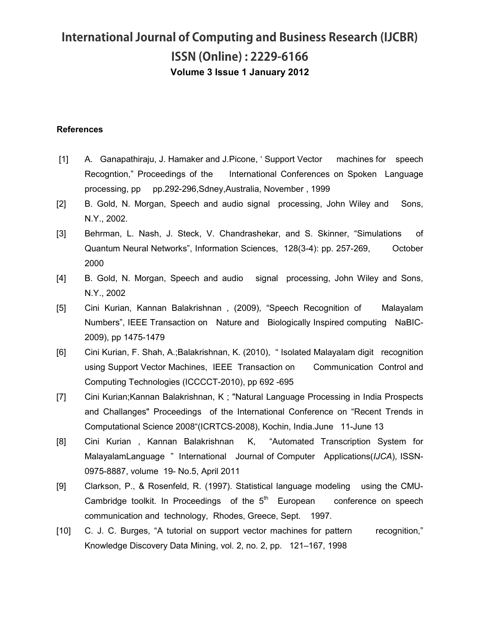### **References**

- [1] A. Ganapathiraju, J. Hamaker and J.Picone, ' Support Vector machines for speech Recogntion," Proceedings of the International Conferences on SpokenLanguage processing, pp pp.292-296,Sdney,Australia, November, 1999
- [2] B. Gold, N. Morgan, Speech and audio signal processing, John Wiley and Sons, N.Y., 2002.
- [3] Behrman, L. Nash, J. Steck, V. Chandrashekar, and S. Skinner, "Simulations of Quantum Neural Networks", Information Sciences, 128(3-4): pp. 257-269, October 2000
- [4] B. Gold, N. Morgan, Speech and audio signal processing, John Wiley and Sons, N.Y., 2002
- [5] Cini Kurian, Kannan Balakrishnan , (2009), "Speech Recognition of Malayalam Numbers", IEEE Transaction on Nature and Biologically Inspired computing NaBIC-2009), pp 1475-1479
- [6] Cini Kurian, F. Shah, A.;Balakrishnan, K. (2010), " Isolated Malayalam digit recognition using Support Vector Machines, IEEE Transaction on Communication Control and Computing Technologies (ICCCCT-2010), pp 692 -695
- [7] Cini Kurian;Kannan Balakrishnan, K ; "Natural Language Processing in India Prospects and Challanges" Proceedings of the International Conference on "Recent Trends in Computational Science 2008"(ICRTCS-2008), Kochin, India.June 11-June 13
- [8] Cini Kurian , Kannan Balakrishnan K, "Automated Transcription System for MalayalamLanguage " International Journal of Computer Applications(*IJCA*), ISSN-0975-8887, volume 19- No.5, April 2011
- [9] Clarkson, P., & Rosenfeld, R. (1997). Statistical language modeling using the CMU-Cambridge toolkit. In Proceedings of the  $5<sup>th</sup>$  European conference on speech communication and technology, Rhodes, Greece, Sept. 1997.
- [10] C. J. C. Burges, "A tutorial on support vector machines for pattern recognition," Knowledge Discovery Data Mining, vol. 2, no. 2, pp. 121–167, 1998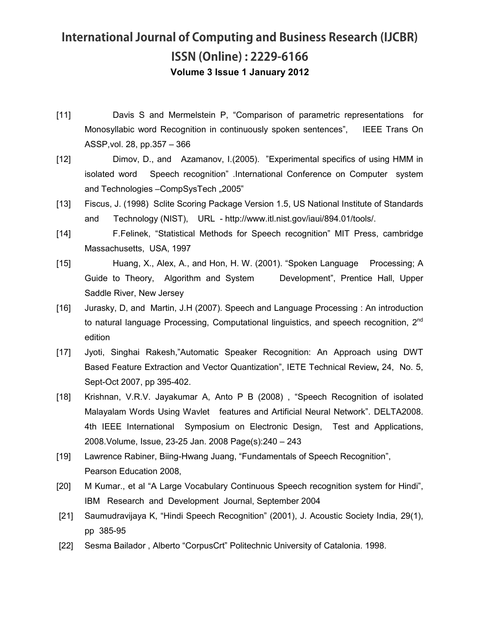- [11] Davis S and Mermelstein P, "Comparison of parametric representations for Monosyllabic word Recognition in continuously spoken sentences", IEEE Trans On ASSP,vol. 28, pp.357 – 366
- [12] Dimov, D., and Azamanov, I.(2005). "Experimental specifics of using HMM in isolated word Speech recognition" .International Conference on Computer system and Technologies -CompSysTech "2005"
- [13] Fiscus, J. (1998) Sclite Scoring Package Version 1.5, US National Institute of Standards and Technology (NIST), URL - http://www.itl.nist.gov/iaui/894.01/tools/.
- [14] F.Felinek, "Statistical Methods for Speech recognition" MIT Press, cambridge Massachusetts, USA, 1997
- [15] Huang, X., Alex, A., and Hon, H. W. (2001). "Spoken Language Processing; A Guide to Theory, Algorithm and System Development", Prentice Hall, Upper Saddle River, New Jersey
- [16] Jurasky, D, and Martin, J.H (2007). Speech and Language Processing : An introduction to natural language Processing, Computational linguistics, and speech recognition, 2<sup>nd</sup> edition
- [17] Jyoti, Singhai Rakesh,"Automatic Speaker Recognition: An Approach using DWT Based Feature Extraction and Vector Quantization", IETE Technical Review**,** 24, No. 5, Sept-Oct 2007, pp 395-402.
- [18] Krishnan, V.R.V. Jayakumar A, Anto P B (2008) , "Speech Recognition of isolated Malayalam Words Using Wavlet features and Artificial Neural Network". DELTA2008. 4th IEEE International Symposium on Electronic Design, Test and Applications, 2008.Volume, Issue, 23-25 Jan. 2008 Page(s):240 – 243
- [19] Lawrence Rabiner, Biing-Hwang Juang, "Fundamentals of Speech Recognition", Pearson Education 2008,
- [20] M Kumar., et al "A Large Vocabulary Continuous Speech recognition system for Hindi", IBM Research and Development Journal, September 2004
- [21] Saumudravijaya K, "Hindi Speech Recognition" (2001), J. Acoustic Society India, 29(1), pp 385-95
- [22] Sesma Bailador , Alberto "CorpusCrt" Politechnic University of Catalonia. 1998.